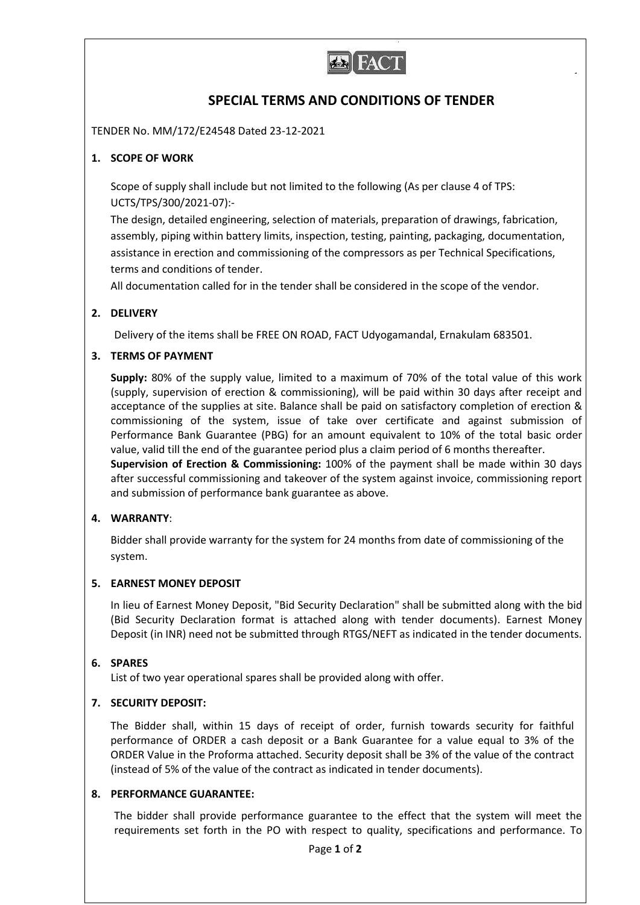

# **SPECIAL TERMS AND CONDITIONS OF TENDER**

TENDER No. MM/172/E24548 Dated 23-12-2021

## **1. SCOPE OF WORK**

Scope of supply shall include but not limited to the following (As per clause 4 of TPS: UCTS/TPS/300/2021-07):-

The design, detailed engineering, selection of materials, preparation of drawings, fabrication, assembly, piping within battery limits, inspection, testing, painting, packaging, documentation, assistance in erection and commissioning of the compressors as per Technical Specifications, terms and conditions of tender.

All documentation called for in the tender shall be considered in the scope of the vendor.

## **2. DELIVERY**

Delivery of the items shall be FREE ON ROAD, FACT Udyogamandal, Ernakulam 683501.

## **3. TERMS OF PAYMENT**

**Supply:** 80% of the supply value, limited to a maximum of 70% of the total value of this work (supply, supervision of erection & commissioning), will be paid within 30 days after receipt and acceptance of the supplies at site. Balance shall be paid on satisfactory completion of erection & commissioning of the system, issue of take over certificate and against submission of Performance Bank Guarantee (PBG) for an amount equivalent to 10% of the total basic order value, valid till the end of the guarantee period plus a claim period of 6 months thereafter. **Supervision of Erection & Commissioning:** 100% of the payment shall be made within 30 days after successful commissioning and takeover of the system against invoice, commissioning report and submission of performance bank guarantee as above.

## **4. WARRANTY**:

Bidder shall provide warranty for the system for 24 months from date of commissioning of the system.

## **5. EARNEST MONEY DEPOSIT**

In lieu of Earnest Money Deposit, "Bid Security Declaration" shall be submitted along with the bid (Bid Security Declaration format is attached along with tender documents). Earnest Money Deposit (in INR) need not be submitted through RTGS/NEFT as indicated in the tender documents.

## **6. SPARES**

List of two year operational spares shall be provided along with offer.

## **7. SECURITY DEPOSIT:**

The Bidder shall, within 15 days of receipt of order, furnish towards security for faithful performance of ORDER a cash deposit or a Bank Guarantee for a value equal to 3% of the ORDER Value in the Proforma attached. Security deposit shall be 3% of the value of the contract (instead of 5% of the value of the contract as indicated in tender documents).

#### **8. PERFORMANCE GUARANTEE:**

The bidder shall provide performance guarantee to the effect that the system will meet the requirements set forth in the PO with respect to quality, specifications and performance. To